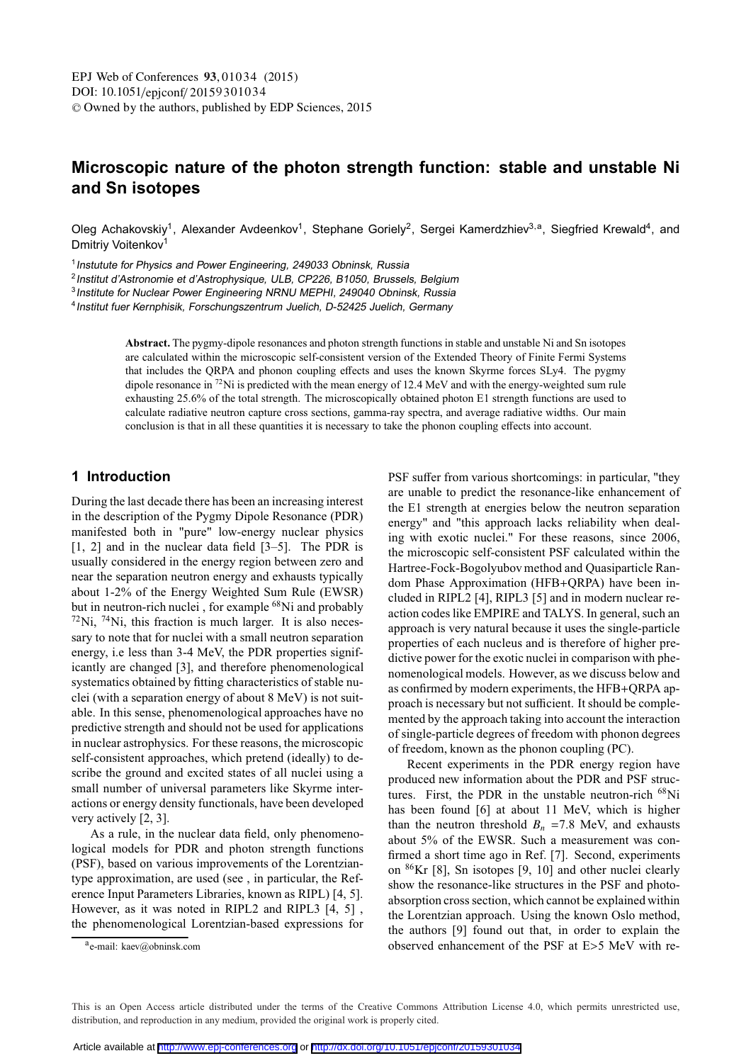# **Microscopic nature of the photon strength function: stable and unstable Ni and Sn isotopes**

Oleg Achakovskiy<sup>1</sup>, Alexander Avdeenkov<sup>1</sup>, Stephane Goriely<sup>2</sup>, Sergei Kamerdzhiev<sup>3,a</sup>, Siegfried Krewald<sup>4</sup>, and Dmitriy Voitenkov<sup>1</sup>

<sup>1</sup> Instutute for Physics and Power Engineering, 249033 Obninsk, Russia

<sup>2</sup>Institut d'Astronomie et d'Astrophysique, ULB, CP226, B1050, Brussels, Belgium

<sup>3</sup> Institute for Nuclear Power Engineering NRNU MEPHI, 249040 Obninsk, Russia

<sup>4</sup> Institut fuer Kernphisik, Forschungszentrum Juelich, D-52425 Juelich, Germany

**Abstract.** The pygmy-dipole resonances and photon strength functions in stable and unstable Ni and Sn isotopes are calculated within the microscopic self-consistent version of the Extended Theory of Finite Fermi Systems that includes the QRPA and phonon coupling effects and uses the known Skyrme forces SLy4. The pygmy dipole resonance in  $^{72}$ Ni is predicted with the mean energy of 12.4 MeV and with the energy-weighted sum rule exhausting 25.6% of the total strength. The microscopically obtained photon E1 strength functions are used to calculate radiative neutron capture cross sections, gamma-ray spectra, and average radiative widths. Our main conclusion is that in all these quantities it is necessary to take the phonon coupling effects into account.

## **1 Introduction**

During the last decade there has been an increasing interest in the description of the Pygmy Dipole Resonance (PDR) manifested both in "pure" low-energy nuclear physics [1, 2] and in the nuclear data field [3–5]. The PDR is usually considered in the energy region between zero and near the separation neutron energy and exhausts typically about 1-2% of the Energy Weighted Sum Rule (EWSR) but in neutron-rich nuclei, for example <sup>68</sup>Ni and probably  $72$ Ni,  $74$ Ni, this fraction is much larger. It is also necessary to note that for nuclei with a small neutron separation energy, i.e less than 3-4 MeV, the PDR properties significantly are changed [3], and therefore phenomenological systematics obtained by fitting characteristics of stable nuclei (with a separation energy of about 8 MeV) is not suitable. In this sense, phenomenological approaches have no predictive strength and should not be used for applications in nuclear astrophysics. For these reasons, the microscopic self-consistent approaches, which pretend (ideally) to describe the ground and excited states of all nuclei using a small number of universal parameters like Skyrme interactions or energy density functionals, have been developed very actively [2, 3].

As a rule, in the nuclear data field, only phenomenological models for PDR and photon strength functions (PSF), based on various improvements of the Lorentziantype approximation, are used (see , in particular, the Reference Input Parameters Libraries, known as RIPL) [4, 5]. However, as it was noted in RIPL2 and RIPL3 [4, 5] , the phenomenological Lorentzian-based expressions for PSF suffer from various shortcomings: in particular, "they are unable to predict the resonance-like enhancement of the E1 strength at energies below the neutron separation energy" and "this approach lacks reliability when dealing with exotic nuclei." For these reasons, since 2006, the microscopic self-consistent PSF calculated within the Hartree-Fock-Bogolyubov method and Quasiparticle Random Phase Approximation (HFB+QRPA) have been included in RIPL2 [4], RIPL3 [5] and in modern nuclear reaction codes like EMPIRE and TALYS. In general, such an approach is very natural because it uses the single-particle properties of each nucleus and is therefore of higher predictive power for the exotic nuclei in comparison with phenomenological models. However, as we discuss below and as confirmed by modern experiments, the HFB+QRPA approach is necessary but not sufficient. It should be complemented by the approach taking into account the interaction of single-particle degrees of freedom with phonon degrees of freedom, known as the phonon coupling (PC).

Recent experiments in the PDR energy region have produced new information about the PDR and PSF structures. First, the PDR in the unstable neutron-rich  $^{68}$ Ni has been found [6] at about 11 MeV, which is higher than the neutron threshold  $B_n = 7.8$  MeV, and exhausts about 5% of the EWSR. Such a measurement was confirmed a short time ago in Ref. [7]. Second, experiments on 86Kr [8], Sn isotopes [9, 10] and other nuclei clearly show the resonance-like structures in the PSF and photoabsorption cross section, which cannot be explained within the Lorentzian approach. Using the known Oslo method, the authors [9] found out that, in order to explain the observed enhancement of the PSF at E>5 MeV with re-

a<sub>e-mail: kaev@obninsk.com</sub>

This is an Open Access article distributed under the terms of the Creative Commons Attribution License 4.0, which permits unrestricted use. distribution, and reproduction in any medium, provided the original work is properly cited.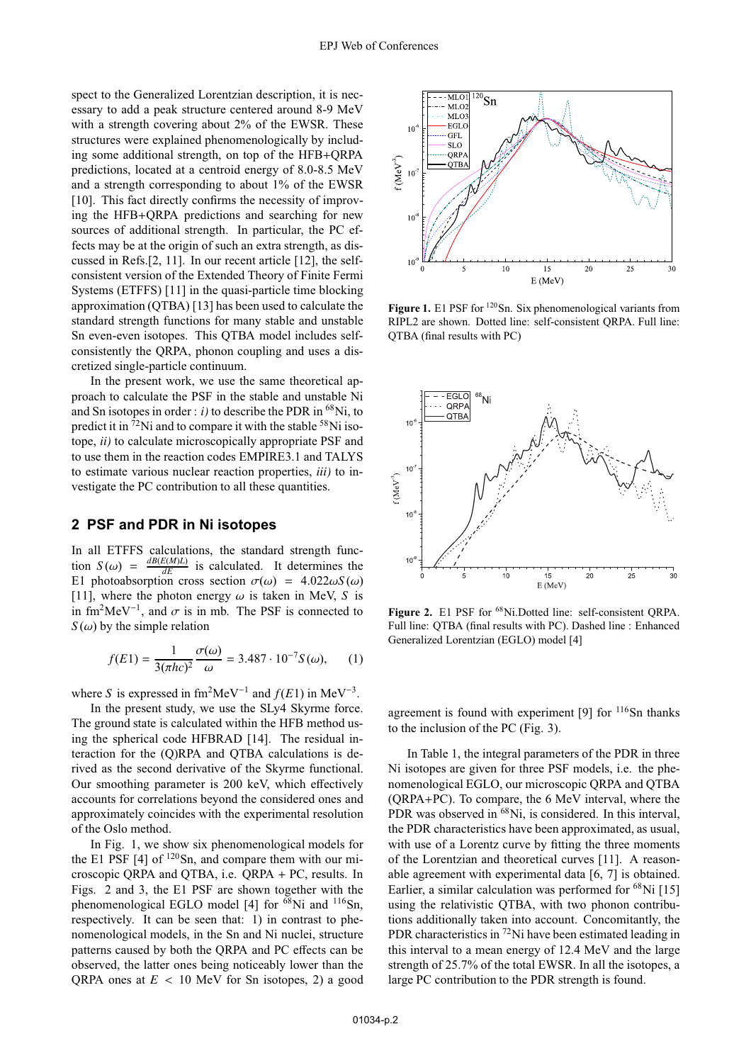spect to the Generalized Lorentzian description, it is necessary to add a peak structure centered around 8-9 MeV with a strength covering about 2% of the EWSR. These structures were explained phenomenologically by including some additional strength, on top of the HFB+QRPA predictions, located at a centroid energy of 8.0-8.5 MeV and a strength corresponding to about 1% of the EWSR [10]. This fact directly confirms the necessity of improving the HFB+QRPA predictions and searching for new sources of additional strength. In particular, the PC effects may be at the origin of such an extra strength, as discussed in Refs.[2, 11]. In our recent article [12], the selfconsistent version of the Extended Theory of Finite Fermi Systems (ETFFS) [11] in the quasi-particle time blocking approximation (QTBA) [13] has been used to calculate the standard strength functions for many stable and unstable Sn even-even isotopes. This QTBA model includes selfconsistently the QRPA, phonon coupling and uses a discretized single-particle continuum.

In the present work, we use the same theoretical approach to calculate the PSF in the stable and unstable Ni and Sn isotopes in order :  $i$ ) to describe the PDR in <sup>68</sup>Ni, to predict it in  ${}^{72}$ Ni and to compare it with the stable  ${}^{58}$ Ni isotope, *ii)* to calculate microscopically appropriate PSF and to use them in the reaction codes EMPIRE3.1 and TALYS to estimate various nuclear reaction properties, *iii)* to investigate the PC contribution to all these quantities.

#### **2 PSF and PDR in Ni isotopes**

In all ETFFS calculations, the standard strength function  $S(\omega) = \frac{dB(E(M)L)}{dE}$  is calculated. It determines the E1 photoabsorption cross section  $\sigma(\omega) = 4.022\omega S(\omega)$ [11], where the photon energy  $\omega$  is taken in MeV, *S* is in fm<sup>2</sup>MeV<sup>-1</sup>, and  $\sigma$  is in mb. The PSF is connected to  $S(\omega)$  by the simple relation

$$
f(E1) = \frac{1}{3(\pi hc)^2} \frac{\sigma(\omega)}{\omega} = 3.487 \cdot 10^{-7} S(\omega),
$$
 (1)

where *S* is expressed in fm<sup>2</sup>MeV<sup>-1</sup> and  $f(E1)$  in MeV<sup>-3</sup>.

In the present study, we use the SLy4 Skyrme force. The ground state is calculated within the HFB method using the spherical code HFBRAD [14]. The residual interaction for the (Q)RPA and QTBA calculations is derived as the second derivative of the Skyrme functional. Our smoothing parameter is 200 keV, which effectively accounts for correlations beyond the considered ones and approximately coincides with the experimental resolution of the Oslo method.

In Fig. 1, we show six phenomenological models for the E1 PSF  $[4]$  of  $120$ Sn, and compare them with our microscopic QRPA and QTBA, i.e. QRPA + PC, results. In Figs. 2 and 3, the E1 PSF are shown together with the phenomenological EGLO model [4] for <sup>68</sup>Ni and <sup>116</sup>Sn, respectively. It can be seen that: 1) in contrast to phenomenological models, in the Sn and Ni nuclei, structure patterns caused by both the QRPA and PC effects can be observed, the latter ones being noticeably lower than the QRPA ones at  $E < 10$  MeV for Sn isotopes, 2) a good



Figure 1. E1 PSF for <sup>120</sup>Sn. Six phenomenological variants from RIPL2 are shown. Dotted line: self-consistent QRPA. Full line: QTBA (final results with PC)



Figure 2. E1 PSF for <sup>68</sup>Ni.Dotted line: self-consistent QRPA. Full line: QTBA (final results with PC). Dashed line : Enhanced Generalized Lorentzian (EGLO) model [4]

agreement is found with experiment [9] for <sup>116</sup>Sn thanks to the inclusion of the PC (Fig. 3).

In Table 1, the integral parameters of the PDR in three Ni isotopes are given for three PSF models, i.e. the phenomenological EGLO, our microscopic QRPA and QTBA (QRPA+PC). To compare, the 6 MeV interval, where the PDR was observed in <sup>68</sup>Ni, is considered. In this interval, the PDR characteristics have been approximated, as usual, with use of a Lorentz curve by fitting the three moments of the Lorentzian and theoretical curves [11]. A reasonable agreement with experimental data [6, 7] is obtained. Earlier, a similar calculation was performed for  ${}^{68}$ Ni [15] using the relativistic QTBA, with two phonon contributions additionally taken into account. Concomitantly, the PDR characteristics in 72Ni have been estimated leading in this interval to a mean energy of 12.4 MeV and the large strength of 25.7% of the total EWSR. In all the isotopes, a large PC contribution to the PDR strength is found.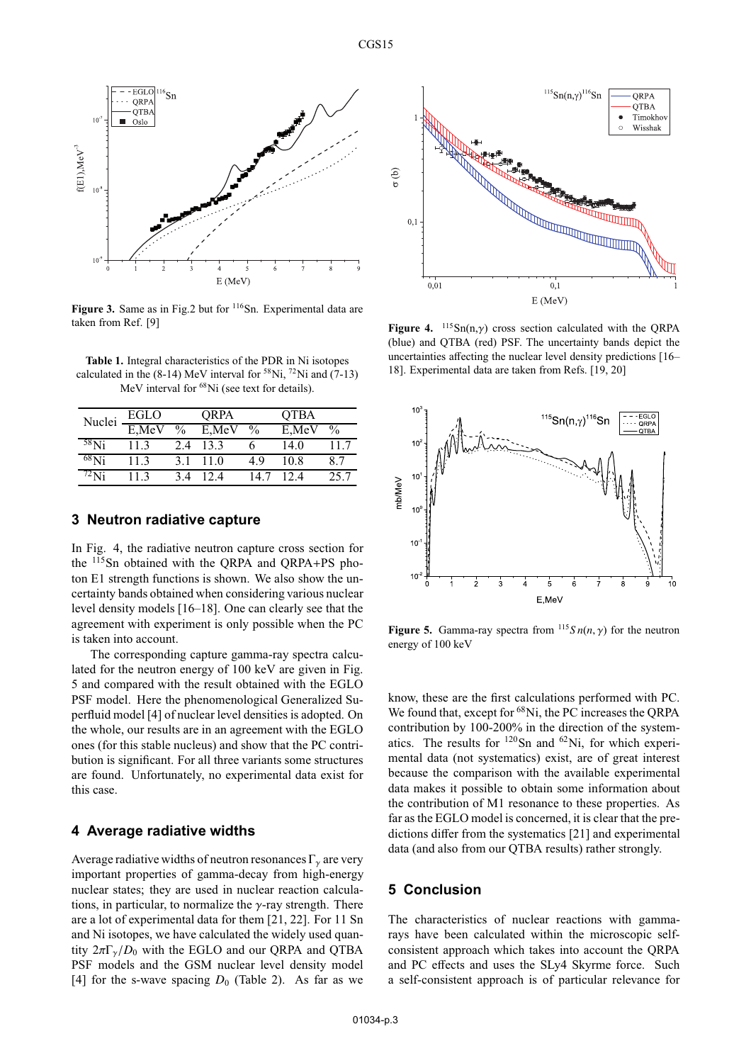

**Figure 3.** Same as in Fig.2 but for <sup>116</sup>Sn. Experimental data are taken from Ref. [9]

**Table 1.** Integral characteristics of the PDR in Ni isotopes calculated in the (8-14) MeV interval for  $58$ Ni,  $72$ Ni and (7-13) MeV interval for <sup>68</sup>Ni (see text for details).

| Nuclei     | EGLO  |               | ORPA  |      | <b>QTBA</b> |               |
|------------|-------|---------------|-------|------|-------------|---------------|
|            | E,MeV | $\frac{0}{0}$ | E,MeV | $\%$ | E,MeV       | $\frac{0}{0}$ |
| $58$ Ni    | 113   | 2.4           | 13.3  |      | 14.0        | 11.7          |
| $^{68}$ Ni | 113   | 31            | 11.0  | 49   | 10.8        | 8.7           |
| /2Ni       | 113   | 34            | 12.4  | 14.7 | 12.4        | 25.7          |

## **3 Neutron radiative capture**

In Fig. 4, the radiative neutron capture cross section for the 115Sn obtained with the QRPA and QRPA+PS photon E1 strength functions is shown. We also show the uncertainty bands obtained when considering various nuclear level density models [16–18]. One can clearly see that the agreement with experiment is only possible when the PC is taken into account.

The corresponding capture gamma-ray spectra calculated for the neutron energy of 100 keV are given in Fig. 5 and compared with the result obtained with the EGLO PSF model. Here the phenomenological Generalized Superfluid model [4] of nuclear level densities is adopted. On the whole, our results are in an agreement with the EGLO ones (for this stable nucleus) and show that the PC contribution is significant. For all three variants some structures are found. Unfortunately, no experimental data exist for this case.

#### **4 Average radiative widths**

Average radiative widths of neutron resonances  $\Gamma_{\gamma}$  are very important properties of gamma-decay from high-energy nuclear states; they are used in nuclear reaction calculations, in particular, to normalize the  $\gamma$ -ray strength. There are a lot of experimental data for them [21, 22]. For 11 Sn and Ni isotopes, we have calculated the widely used quantity  $2\pi\Gamma_{\gamma}/D_0$  with the EGLO and our QRPA and QTBA PSF models and the GSM nuclear level density model [4] for the s-wave spacing  $D_0$  (Table 2). As far as we



**Figure 4.** 115Sn(n,γ) cross section calculated with the QRPA (blue) and QTBA (red) PSF. The uncertainty bands depict the uncertainties affecting the nuclear level density predictions [16– 18]. Experimental data are taken from Refs. [19, 20]



**Figure 5.** Gamma-ray spectra from  $^{115}S n(n, \gamma)$  for the neutron energy of 100 keV

know, these are the first calculations performed with PC. We found that, except for <sup>68</sup>Ni, the PC increases the ORPA contribution by 100-200% in the direction of the systematics. The results for  $120$ Sn and  $62$ Ni, for which experimental data (not systematics) exist, are of great interest because the comparison with the available experimental data makes it possible to obtain some information about the contribution of M1 resonance to these properties. As far as the EGLO model is concerned, it is clear that the predictions differ from the systematics [21] and experimental data (and also from our QTBA results) rather strongly.

## **5 Conclusion**

The characteristics of nuclear reactions with gammarays have been calculated within the microscopic selfconsistent approach which takes into account the QRPA and PC effects and uses the SLy4 Skyrme force. Such a self-consistent approach is of particular relevance for